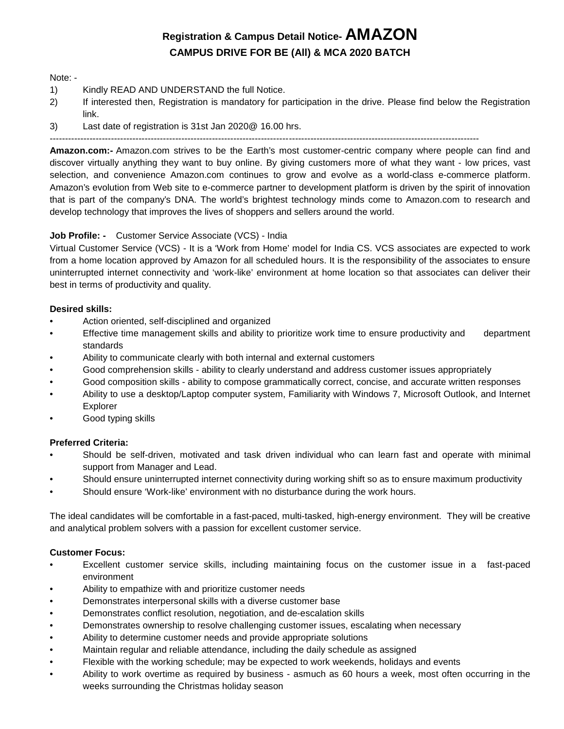# **Registration & Campus Detail Notice- AMAZON CAMPUS DRIVE FOR BE (All) & MCA 2020 BATCH**

### Note: -

- 1) Kindly READ AND UNDERSTAND the full Notice.
- 2) If interested then, Registration is mandatory for participation in the drive. Please find below the Registration link.
- 3) Last date of registration is 31st Jan 2020@ 16.00 hrs.

**Amazon.com:-** Amazon.com strives to be the Earth's most customer-centric company where people can find and discover virtually anything they want to buy online. By giving customers more of what they want - low prices, vast selection, and convenience Amazon.com continues to grow and evolve as a world-class e-commerce platform. Amazon's evolution from Web site to e-commerce partner to development platform is driven by the spirit of innovation that is part of the company's DNA. The world's brightest technology minds come to Amazon.com to research and develop technology that improves the lives of shoppers and sellers around the world.

### **Job Profile: -** Customer Service Associate (VCS) - India

Virtual Customer Service (VCS) - It is a 'Work from Home' model for India CS. VCS associates are expected to work from a home location approved by Amazon for all scheduled hours. It is the responsibility of the associates to ensure uninterrupted internet connectivity and 'work-like' environment at home location so that associates can deliver their best in terms of productivity and quality.

### **Desired skills:**

- Action oriented, self-disciplined and organized
- Effective time management skills and ability to prioritize work time to ensure productivity and department standards
- Ability to communicate clearly with both internal and external customers
- Good comprehension skills ability to clearly understand and address customer issues appropriately
- Good composition skills ability to compose grammatically correct, concise, and accurate written responses
- Ability to use a desktop/Laptop computer system, Familiarity with Windows 7, Microsoft Outlook, and Internet Explorer
- Good typing skills

### **Preferred Criteria:**

- Should be self-driven, motivated and task driven individual who can learn fast and operate with minimal support from Manager and Lead.
- Should ensure uninterrupted internet connectivity during working shift so as to ensure maximum productivity
- Should ensure 'Work-like' environment with no disturbance during the work hours.

The ideal candidates will be comfortable in a fast-paced, multi-tasked, high-energy environment. They will be creative and analytical problem solvers with a passion for excellent customer service.

### **Customer Focus:**

- Excellent customer service skills, including maintaining focus on the customer issue in a fast-paced environment
- Ability to empathize with and prioritize customer needs
- Demonstrates interpersonal skills with a diverse customer base
- Demonstrates conflict resolution, negotiation, and de-escalation skills
- Demonstrates ownership to resolve challenging customer issues, escalating when necessary
- Ability to determine customer needs and provide appropriate solutions
- Maintain regular and reliable attendance, including the daily schedule as assigned
- Flexible with the working schedule; may be expected to work weekends, holidays and events
- Ability to work overtime as required by business asmuch as 60 hours a week, most often occurring in the weeks surrounding the Christmas holiday season